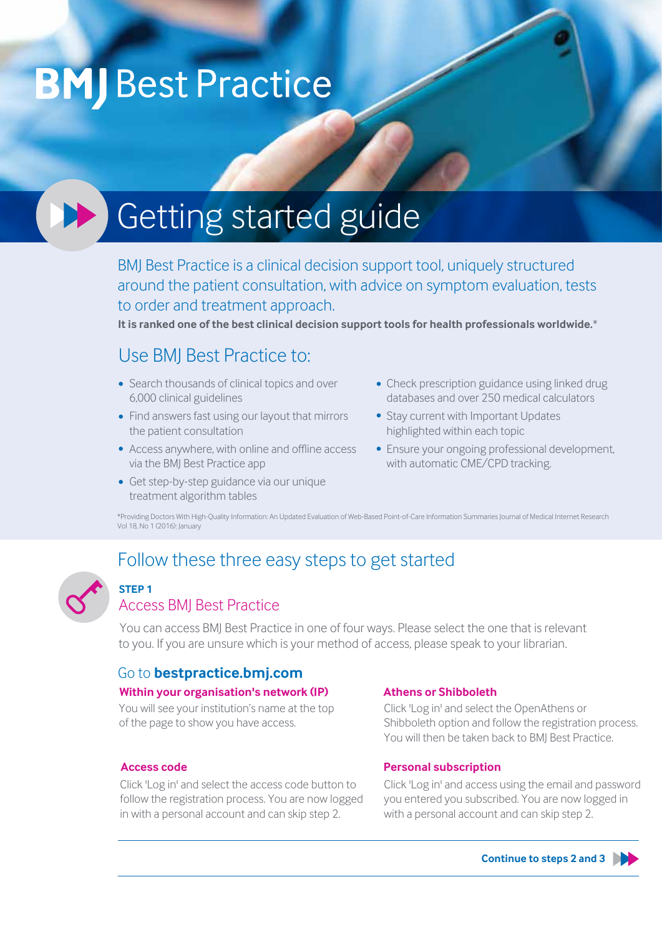# **BMJ** Best Practice

# **CELL** Getting started guide

BMJ Best Practice is a clinical decision support tool, uniquely structured around the patient consultation, with advice on symptom evaluation, tests to order and treatment approach.

**It is ranked one of the best clinical decision support tools for health professionals worldwide.**\*

# Use BMJ Best Practice to:

- Search thousands of clinical topics and over 6,000 clinical guidelines
- Find answers fast using our layout that mirrors the patient consultation
- Access anywhere, with online and offline access via the BMJ Best Practice app
- Get step-by-step guidance via our unique treatment algorithm tables
- Check prescription guidance using linked drug databases and over 250 medical calculators
- Stay current with Important Updates highlighted within each topic
- Ensure your ongoing professional development, with automatic CME/CPD tracking.

\*Providing Doctors With High-Quality Information: An Updated Evaluation of Web-Based Point-of-Care Information Summaries Journal of Medical Internet Research Vol 18, No 1 (2016): January

# Follow these three easy steps to get started



### **STEP 1**

### Access BMJ Best Practice

You can access BMJ Best Practice in one of four ways. Please select the one that is relevant to you. If you are unsure which is your method of access, please speak to your librarian.

### Go to **bestpractice.bmj.com**

#### **Within your organisation's network (IP)**

You will see your institution's name at the top of the page to show you have access.

#### **Access code**

Click 'Log in' and select the access code button to follow the registration process. You are now logged in with a personal account and can skip step 2.

#### **Athens or Shibboleth**

Click 'Log in' and select the OpenAthens or Shibboleth option and follow the registration process. You will then be taken back to BMJ Best Practice.

#### **Personal subscription**

Click 'Log in' and access using the email and password you entered you subscribed. You are now logged in with a personal account and can skip step 2.